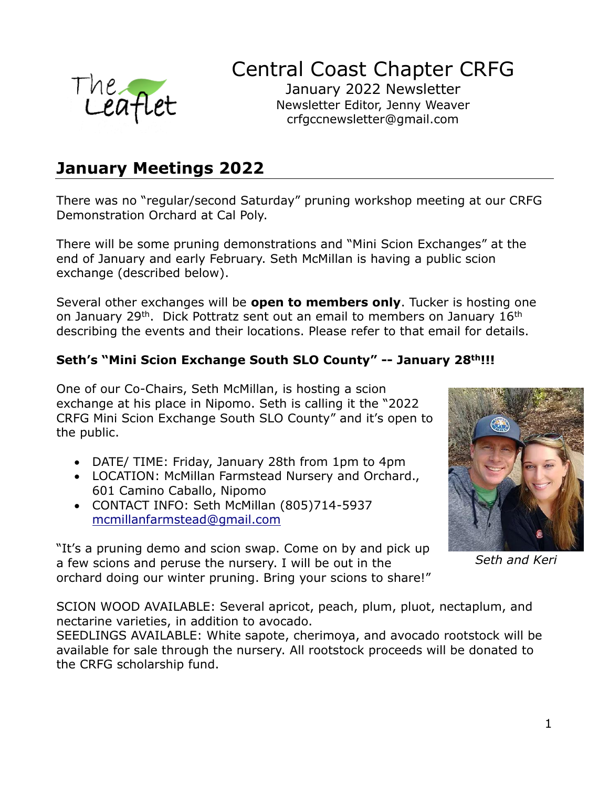

## Central Coast Chapter CRFG

January 2022 Newsletter Newsletter Editor, Jenny Weaver crfgccnewsletter@gmail.com

### **January Meetings 2022**

There was no "regular/second Saturday" pruning workshop meeting at our CRFG Demonstration Orchard at Cal Poly.

There will be some pruning demonstrations and "Mini Scion Exchanges" at the end of January and early February. Seth McMillan is having a public scion exchange (described below).

Several other exchanges will be **open to members only**. Tucker is hosting one on January 29<sup>th</sup>. Dick Pottratz sent out an email to members on January 16<sup>th</sup> describing the events and their locations. Please refer to that email for details.

#### **Seth's "Mini Scion Exchange South SLO County" -- January 28th!!!**

One of our Co-Chairs, Seth McMillan, is hosting a scion exchange at his place in Nipomo. Seth is calling it the "2022 CRFG Mini Scion Exchange South SLO County" and it's open to the public.

- DATE/ TIME: Friday, January 28th from 1pm to 4pm
- LOCATION: McMillan Farmstead Nursery and Orchard., 601 Camino Caballo, Nipomo
- CONTACT INFO: Seth McMillan (805)714-5937 [mcmillanfarmstead@gmail.com](mailto:mcmillanfarmstead@gmail.com)

"It's a pruning demo and scion swap. Come on by and pick up a few scions and peruse the nursery. I will be out in the orchard doing our winter pruning. Bring your scions to share!"



*Seth and Keri*

SCION WOOD AVAILABLE: Several apricot, peach, plum, pluot, nectaplum, and nectarine varieties, in addition to avocado.

SEEDLINGS AVAILABLE: White sapote, cherimoya, and avocado rootstock will be available for sale through the nursery. All rootstock proceeds will be donated to the CRFG scholarship fund.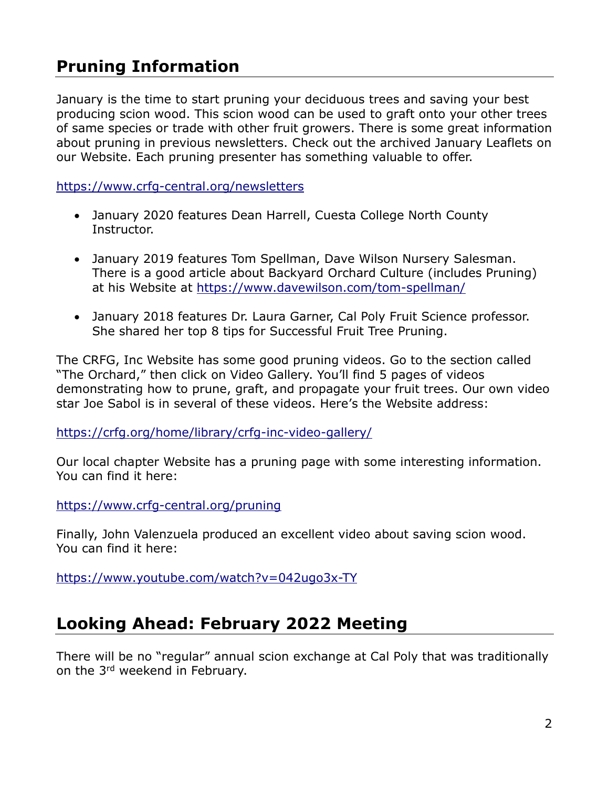### **Pruning Information**

January is the time to start pruning your deciduous trees and saving your best producing scion wood. This scion wood can be used to graft onto your other trees of same species or trade with other fruit growers. There is some great information about pruning in previous newsletters. Check out the archived January Leaflets on our Website. Each pruning presenter has something valuable to offer.

<https://www.crfg-central.org/newsletters>

- January 2020 features Dean Harrell, Cuesta College North County Instructor.
- January 2019 features Tom Spellman, Dave Wilson Nursery Salesman. There is a good article about Backyard Orchard Culture (includes Pruning) at his Website at<https://www.davewilson.com/tom-spellman/>
- January 2018 features Dr. Laura Garner, Cal Poly Fruit Science professor. She shared her top 8 tips for Successful Fruit Tree Pruning.

The CRFG, Inc Website has some good pruning videos. Go to the section called "The Orchard," then click on Video Gallery. You'll find 5 pages of videos demonstrating how to prune, graft, and propagate your fruit trees. Our own video star Joe Sabol is in several of these videos. Here's the Website address:

<https://crfg.org/home/library/crfg-inc-video-gallery/>

Our local chapter Website has a pruning page with some interesting information. You can find it here:

<https://www.crfg-central.org/pruning>

Finally, John Valenzuela produced an excellent video about saving scion wood. You can find it here:

<https://www.youtube.com/watch?v=042ugo3x-TY>

### **Looking Ahead: February 2022 Meeting**

There will be no "regular" annual scion exchange at Cal Poly that was traditionally on the 3<sup>rd</sup> weekend in February.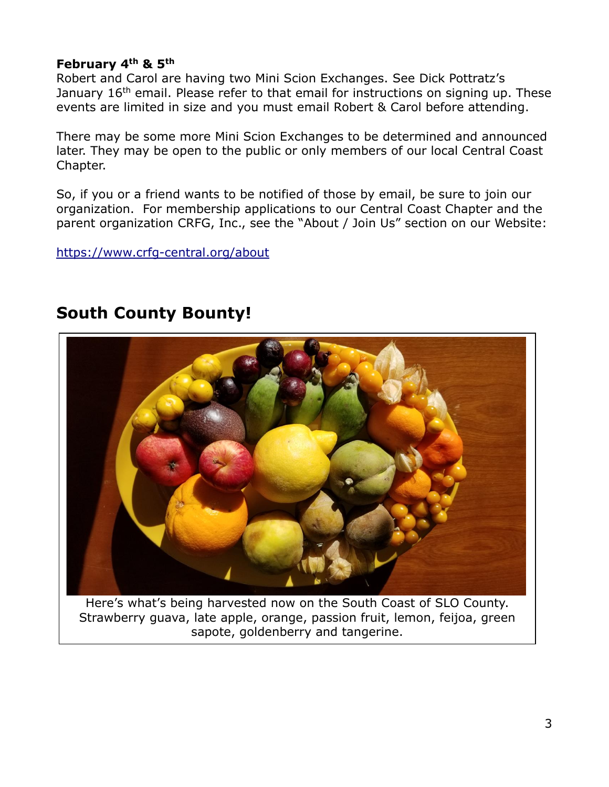#### **February 4th & 5th**

Robert and Carol are having two Mini Scion Exchanges. See Dick Pottratz's January 16<sup>th</sup> email. Please refer to that email for instructions on signing up. These events are limited in size and you must email Robert & Carol before attending.

There may be some more Mini Scion Exchanges to be determined and announced later. They may be open to the public or only members of our local Central Coast Chapter.

So, if you or a friend wants to be notified of those by email, be sure to join our organization. For membership applications to our Central Coast Chapter and the parent organization CRFG, Inc., see the "About / Join Us" section on our Website:

<https://www.crfg-central.org/about>

### **South County Bounty!**

Here's what's being harvested now on the South Coast of SLO County. Strawberry guava, late apple, orange, passion fruit, lemon, feijoa, green sapote, goldenberry and tangerine.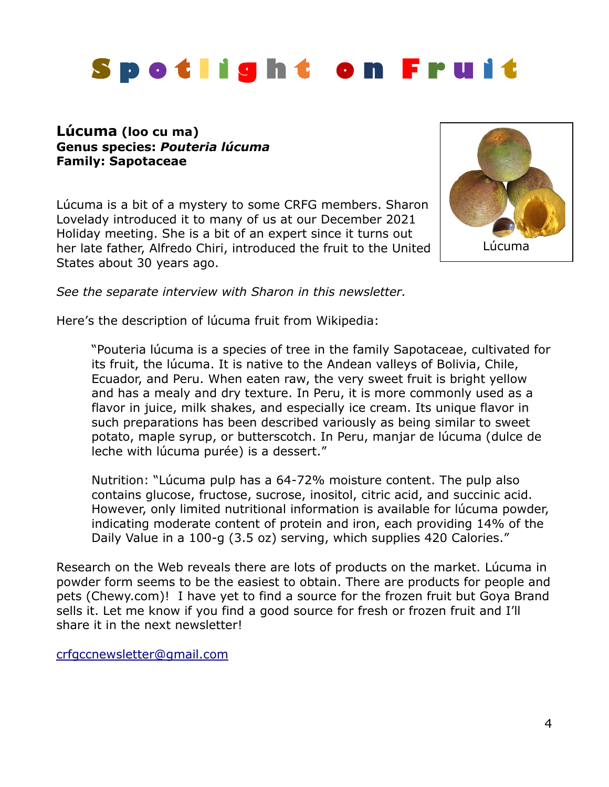# **S p o t l i g h t o n F r u i t**

#### **Lúcuma (loo cu ma) Genus species:** *Pouteria lúcuma* **Family: Sapotaceae**

Lúcuma is a bit of a mystery to some CRFG members. Sharon Lovelady introduced it to many of us at our December 2021 Holiday meeting. She is a bit of an expert since it turns out her late father, Alfredo Chiri, introduced the fruit to the United States about 30 years ago.



*See the separate interview with Sharon in this newsletter.*

Here's the description of lúcuma fruit from Wikipedia:

"Pouteria lúcuma is a species of tree in the family Sapotaceae, cultivated for its fruit, the lúcuma. It is native to the Andean valleys of Bolivia, Chile, Ecuador, and Peru. When eaten raw, the very sweet fruit is bright yellow and has a mealy and dry texture. In Peru, it is more commonly used as a flavor in juice, milk shakes, and especially ice cream. Its unique flavor in such preparations has been described variously as being similar to sweet potato, maple syrup, or butterscotch. In Peru, manjar de lúcuma (dulce de leche with lúcuma purée) is a dessert."

Nutrition: "Lúcuma pulp has a 64-72% moisture content. The pulp also contains glucose, fructose, sucrose, inositol, citric acid, and succinic acid. However, only limited nutritional information is available for lúcuma powder, indicating moderate content of protein and iron, each providing 14% of the Daily Value in a 100-g (3.5 oz) serving, which supplies 420 Calories."

Research on the Web reveals there are lots of products on the market. Lúcuma in powder form seems to be the easiest to obtain. There are products for people and pets (Chewy.com)! I have yet to find a source for the frozen fruit but Goya Brand sells it. Let me know if you find a good source for fresh or frozen fruit and I'll share it in the next newsletter!

[crfgccnewsletter@gmail.com](mailto:crfgccnewsletter@gmail.com)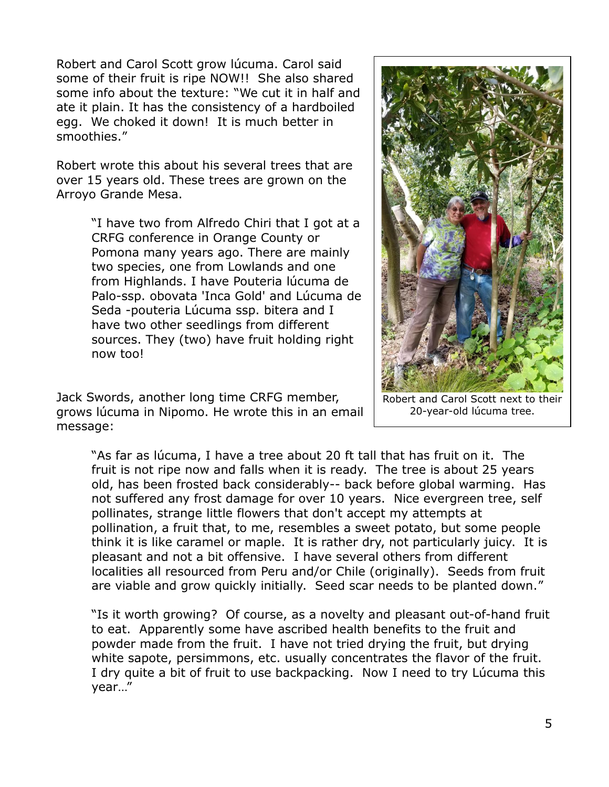Robert and Carol Scott grow lúcuma. Carol said some of their fruit is ripe NOW!! She also shared some info about the texture: "We cut it in half and ate it plain. It has the consistency of a hardboiled egg. We choked it down! It is much better in smoothies."

Robert wrote this about his several trees that are over 15 years old. These trees are grown on the Arroyo Grande Mesa.

> "I have two from Alfredo Chiri that I got at a CRFG conference in Orange County or Pomona many years ago. There are mainly two species, one from Lowlands and one from Highlands. I have Pouteria lúcuma de Palo-ssp. obovata 'Inca Gold' and Lúcuma de Seda -pouteria Lúcuma ssp. bitera and I have two other seedlings from different sources. They (two) have fruit holding right now too!

Jack Swords, another long time CRFG member, grows lúcuma in Nipomo. He wrote this in an email message:

Robert and Carol Scott next to their 20-year-old lúcuma tree.

"As far as lúcuma, I have a tree about 20 ft tall that has fruit on it. The fruit is not ripe now and falls when it is ready. The tree is about 25 years old, has been frosted back considerably-- back before global warming. Has not suffered any frost damage for over 10 years. Nice evergreen tree, self pollinates, strange little flowers that don't accept my attempts at pollination, a fruit that, to me, resembles a sweet potato, but some people think it is like caramel or maple. It is rather dry, not particularly juicy. It is pleasant and not a bit offensive. I have several others from different localities all resourced from Peru and/or Chile (originally). Seeds from fruit are viable and grow quickly initially. Seed scar needs to be planted down."

"Is it worth growing? Of course, as a novelty and pleasant out-of-hand fruit to eat. Apparently some have ascribed health benefits to the fruit and powder made from the fruit. I have not tried drying the fruit, but drying white sapote, persimmons, etc. usually concentrates the flavor of the fruit. I dry quite a bit of fruit to use backpacking. Now I need to try Lúcuma this year…"

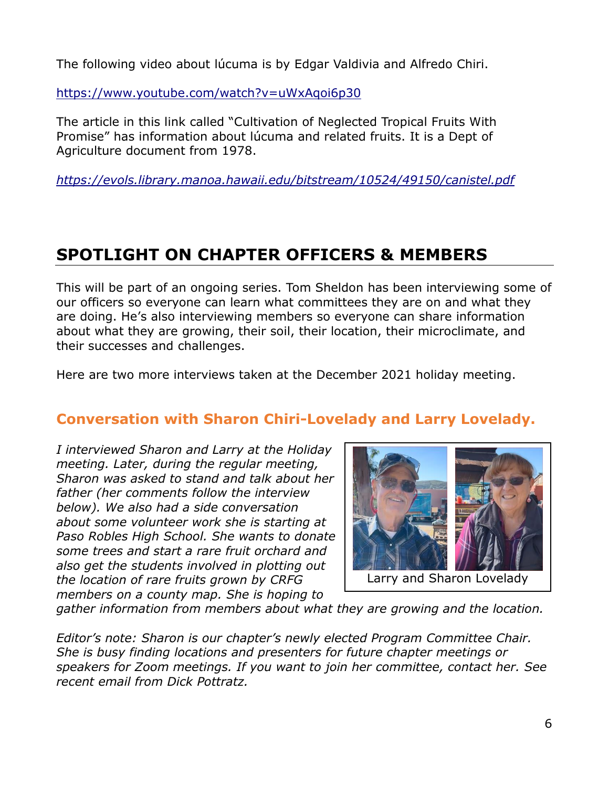The following video about lúcuma is by Edgar Valdivia and Alfredo Chiri.

<https://www.youtube.com/watch?v=uWxAqoi6p30>

The article in this link called "Cultivation of Neglected Tropical Fruits With Promise" has information about lúcuma and related fruits. It is a Dept of Agriculture document from 1978.

*<https://evols.library.manoa.hawaii.edu/bitstream/10524/49150/canistel.pdf>*

### **SPOTLIGHT ON CHAPTER OFFICERS & MEMBERS**

This will be part of an ongoing series. Tom Sheldon has been interviewing some of our officers so everyone can learn what committees they are on and what they are doing. He's also interviewing members so everyone can share information about what they are growing, their soil, their location, their microclimate, and their successes and challenges.

Here are two more interviews taken at the December 2021 holiday meeting.

### **Conversation with Sharon Chiri-Lovelady and Larry Lovelady.**

*I interviewed Sharon and Larry at the Holiday meeting. Later, during the regular meeting, Sharon was asked to stand and talk about her father (her comments follow the interview below). We also had a side conversation about some volunteer work she is starting at Paso Robles High School. She wants to donate some trees and start a rare fruit orchard and also get the students involved in plotting out the location of rare fruits grown by CRFG members on a county map. She is hoping to* 



Larry and Sharon Lovelady

*gather information from members about what they are growing and the location.*

*Editor's note: Sharon is our chapter's newly elected Program Committee Chair. She is busy finding locations and presenters for future chapter meetings or speakers for Zoom meetings. If you want to join her committee, contact her. See recent email from Dick Pottratz.*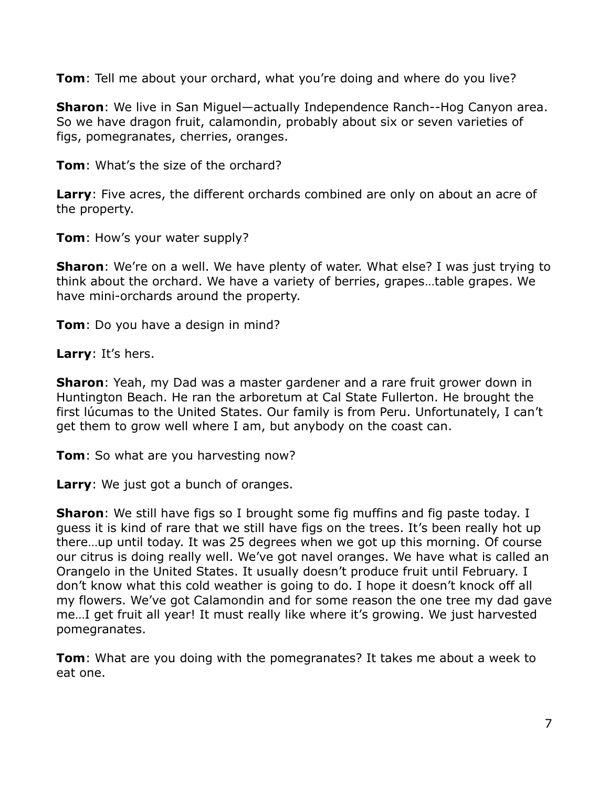**Tom**: Tell me about your orchard, what you're doing and where do you live?

**Sharon**: We live in San Miguel—actually Independence Ranch--Hog Canyon area. So we have dragon fruit, calamondin, probably about six or seven varieties of figs, pomegranates, cherries, oranges.

**Tom**: What's the size of the orchard?

**Larry**: Five acres, the different orchards combined are only on about an acre of the property.

**Tom**: How's your water supply?

**Sharon**: We're on a well. We have plenty of water. What else? I was just trying to think about the orchard. We have a variety of berries, grapes…table grapes. We have mini-orchards around the property.

**Tom**: Do you have a design in mind?

**Larry**: It's hers.

**Sharon**: Yeah, my Dad was a master gardener and a rare fruit grower down in Huntington Beach. He ran the arboretum at Cal State Fullerton. He brought the first lúcumas to the United States. Our family is from Peru. Unfortunately, I can't get them to grow well where I am, but anybody on the coast can.

**Tom**: So what are you harvesting now?

**Larry**: We just got a bunch of oranges.

**Sharon**: We still have figs so I brought some fig muffins and fig paste today. I guess it is kind of rare that we still have figs on the trees. It's been really hot up there…up until today. It was 25 degrees when we got up this morning. Of course our citrus is doing really well. We've got navel oranges. We have what is called an Orangelo in the United States. It usually doesn't produce fruit until February. I don't know what this cold weather is going to do. I hope it doesn't knock off all my flowers. We've got Calamondin and for some reason the one tree my dad gave me…I get fruit all year! It must really like where it's growing. We just harvested pomegranates.

**Tom**: What are you doing with the pomegranates? It takes me about a week to eat one.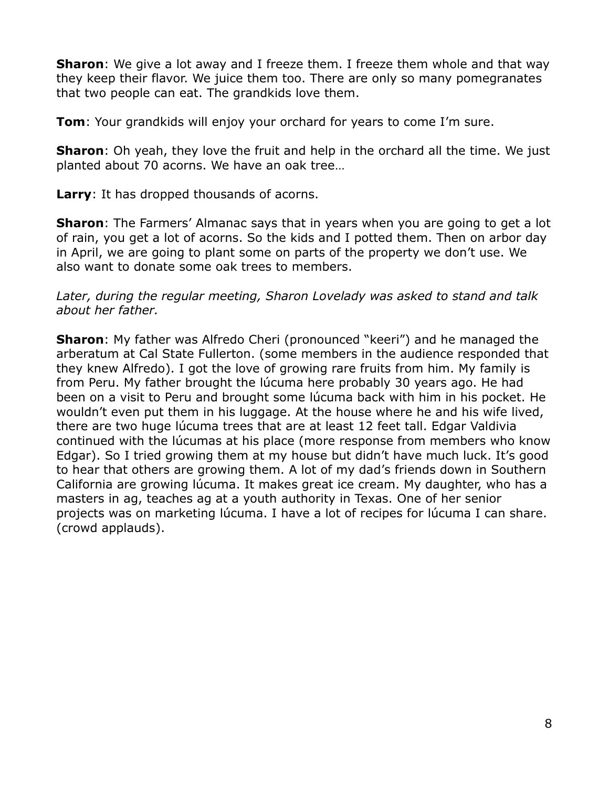**Sharon**: We give a lot away and I freeze them. I freeze them whole and that way they keep their flavor. We juice them too. There are only so many pomegranates that two people can eat. The grandkids love them.

**Tom**: Your grandkids will enjoy your orchard for years to come I'm sure.

**Sharon**: Oh yeah, they love the fruit and help in the orchard all the time. We just planted about 70 acorns. We have an oak tree…

**Larry**: It has dropped thousands of acorns.

**Sharon**: The Farmers' Almanac says that in years when you are going to get a lot of rain, you get a lot of acorns. So the kids and I potted them. Then on arbor day in April, we are going to plant some on parts of the property we don't use. We also want to donate some oak trees to members.

#### *Later, during the regular meeting, Sharon Lovelady was asked to stand and talk about her father.*

**Sharon**: My father was Alfredo Cheri (pronounced "keeri") and he managed the arberatum at Cal State Fullerton. (some members in the audience responded that they knew Alfredo). I got the love of growing rare fruits from him. My family is from Peru. My father brought the lúcuma here probably 30 years ago. He had been on a visit to Peru and brought some lúcuma back with him in his pocket. He wouldn't even put them in his luggage. At the house where he and his wife lived, there are two huge lúcuma trees that are at least 12 feet tall. Edgar Valdivia continued with the lúcumas at his place (more response from members who know Edgar). So I tried growing them at my house but didn't have much luck. It's good to hear that others are growing them. A lot of my dad's friends down in Southern California are growing lúcuma. It makes great ice cream. My daughter, who has a masters in ag, teaches ag at a youth authority in Texas. One of her senior projects was on marketing lúcuma. I have a lot of recipes for lúcuma I can share. (crowd applauds).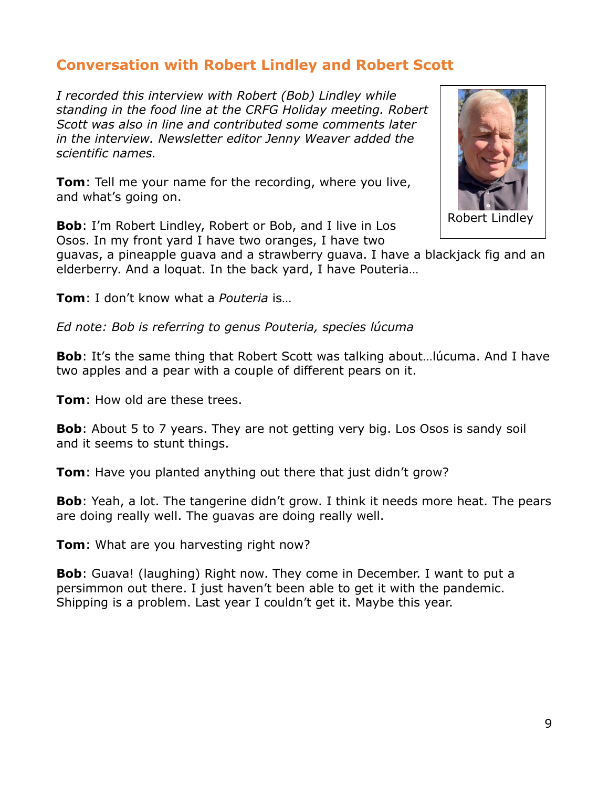#### **Conversation with Robert Lindley and Robert Scott**

*I recorded this interview with Robert (Bob) Lindley while standing in the food line at the CRFG Holiday meeting. Robert Scott was also in line and contributed some comments later in the interview. Newsletter editor Jenny Weaver added the scientific names.*

**Tom**: Tell me your name for the recording, where you live, and what's going on.

**Bob**: I'm Robert Lindley, Robert or Bob, and I live in Los Osos. In my front yard I have two oranges, I have two



Robert Lindley

guavas, a pineapple guava and a strawberry guava. I have a blackjack fig and an elderberry. And a loquat. In the back yard, I have Pouteria…

**Tom**: I don't know what a *Pouteria* is…

*Ed note: Bob is referring to genus Pouteria, species lúcuma*

**Bob**: It's the same thing that Robert Scott was talking about…lúcuma. And I have two apples and a pear with a couple of different pears on it.

**Tom**: How old are these trees.

**Bob**: About 5 to 7 years. They are not getting very big. Los Osos is sandy soil and it seems to stunt things.

**Tom**: Have you planted anything out there that just didn't grow?

**Bob**: Yeah, a lot. The tangerine didn't grow. I think it needs more heat. The pears are doing really well. The guavas are doing really well.

**Tom**: What are you harvesting right now?

**Bob**: Guava! (laughing) Right now. They come in December. I want to put a persimmon out there. I just haven't been able to get it with the pandemic. Shipping is a problem. Last year I couldn't get it. Maybe this year.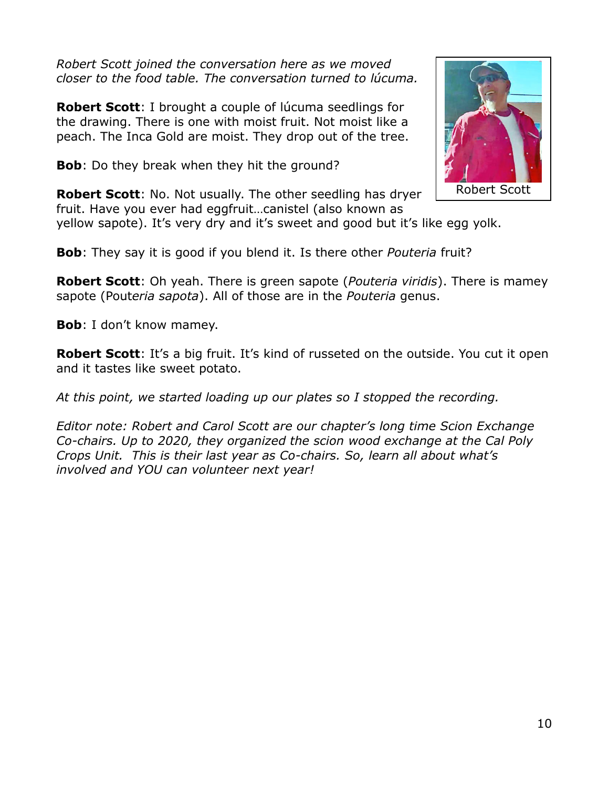*Robert Scott joined the conversation here as we moved closer to the food table. The conversation turned to lúcuma.*

**Robert Scott**: I brought a couple of lúcuma seedlings for the drawing. There is one with moist fruit. Not moist like a peach. The Inca Gold are moist. They drop out of the tree.

**Bob**: Do they break when they hit the ground?

**Robert Scott**: No. Not usually. The other seedling has dryer fruit. Have you ever had eggfruit…canistel (also known as



**Bob**: They say it is good if you blend it. Is there other *Pouteria* fruit?

**Robert Scott**: Oh yeah. There is green sapote (*Pouteria viridis*). There is mamey sapote (Pout*eria sapota*). All of those are in the *Pouteria* genus.

**Bob**: I don't know mamey.

**Robert Scott**: It's a big fruit. It's kind of russeted on the outside. You cut it open and it tastes like sweet potato.

*At this point, we started loading up our plates so I stopped the recording.*

*Editor note: Robert and Carol Scott are our chapter's long time Scion Exchange Co-chairs. Up to 2020, they organized the scion wood exchange at the Cal Poly Crops Unit. This is their last year as Co-chairs. So, learn all about what's involved and YOU can volunteer next year!*

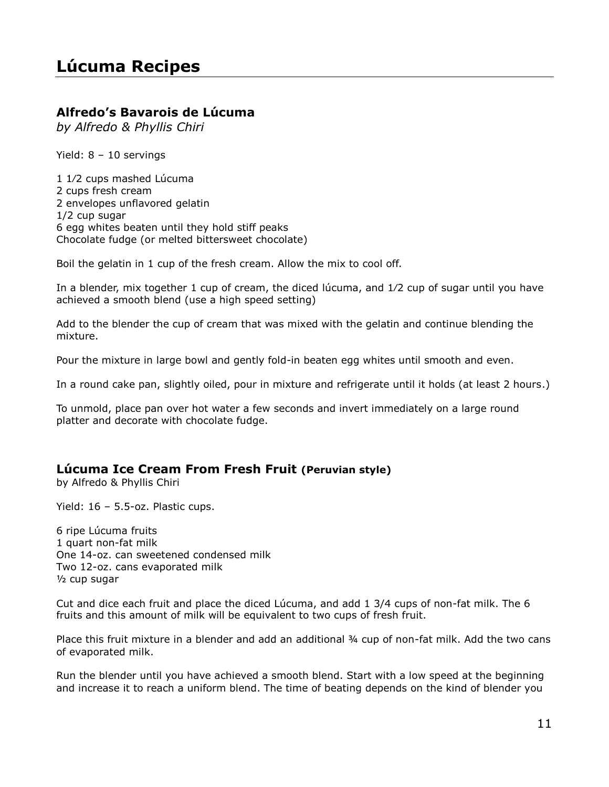#### **Alfredo's Bavarois de Lúcuma**

*by Alfredo & Phyllis Chiri*

Yield: 8 – 10 servings

1 1⁄2 cups mashed Lúcuma 2 cups fresh cream 2 envelopes unflavored gelatin 1/2 cup sugar 6 egg whites beaten until they hold stiff peaks Chocolate fudge (or melted bittersweet chocolate)

Boil the gelatin in 1 cup of the fresh cream. Allow the mix to cool off.

In a blender, mix together 1 cup of cream, the diced lúcuma, and 1⁄2 cup of sugar until you have achieved a smooth blend (use a high speed setting)

Add to the blender the cup of cream that was mixed with the gelatin and continue blending the mixture.

Pour the mixture in large bowl and gently fold-in beaten egg whites until smooth and even.

In a round cake pan, slightly oiled, pour in mixture and refrigerate until it holds (at least 2 hours.)

To unmold, place pan over hot water a few seconds and invert immediately on a large round platter and decorate with chocolate fudge.

#### **Lúcuma Ice Cream From Fresh Fruit (Peruvian style)**

by Alfredo & Phyllis Chiri

Yield: 16 – 5.5-oz. Plastic cups.

6 ripe Lúcuma fruits 1 quart non-fat milk One 14-oz. can sweetened condensed milk Two 12-oz. cans evaporated milk ½ cup sugar

Cut and dice each fruit and place the diced Lúcuma, and add 1 3/4 cups of non-fat milk. The 6 fruits and this amount of milk will be equivalent to two cups of fresh fruit.

Place this fruit mixture in a blender and add an additional ¾ cup of non-fat milk. Add the two cans of evaporated milk.

Run the blender until you have achieved a smooth blend. Start with a low speed at the beginning and increase it to reach a uniform blend. The time of beating depends on the kind of blender you